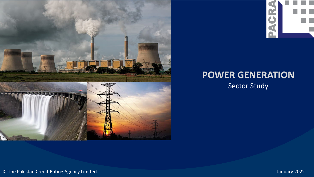



# **POWER GENERATION** Sector Study

© The Pakistan Credit Rating Agency Limited. January 2022

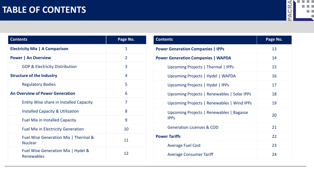# **TABLE OF CONTENTS**



| <b>Contents</b>                                        | Page No.       |
|--------------------------------------------------------|----------------|
| <b>Electricity Mix   A Comparison</b>                  | $\mathbf{1}$   |
| <b>Power   An Overview</b>                             | $\overline{2}$ |
| <b>GDP &amp; Electricity Distribution</b>              | 3              |
| <b>Structure of the Industry</b>                       | 4              |
| <b>Regulatory Bodies</b>                               | 5              |
| <b>An Overview of Power Generation</b>                 | 6              |
| <b>Entity Wise share in Installed Capacity</b>         | 7              |
| <b>Installed Capacity &amp; Utilization</b>            | 8              |
| <b>Fuel Mix in Installed Capacity</b>                  | 9              |
| <b>Fuel Mix in Electricity Generation</b>              | 10             |
| Fuel Wise Generation Mix   Thermal &<br><b>Nuclear</b> | 11             |
| Fuel Wise Generation Mix   Hydel &<br>Renewables       | 12             |

| <b>Contents</b>                                         | Page No. |
|---------------------------------------------------------|----------|
| <b>Power Generation Companies   IPPs</b>                | 13       |
| <b>Power Generation Companies   WAPDA</b>               | 14       |
| Upcoming Projects   Thermal   IPPs                      | 15       |
| Upcoming Projects   Hydel   WAPDA                       | 16       |
| Upcoming Projects   Hydel   IPPs                        | 17       |
| Upcoming Projects   Renewables   Solar IPPs             | 18       |
| Upcoming Projects   Renewables   Wind IPPs              | 19       |
| Upcoming Projects   Renewables   Bagasse<br><b>IPPS</b> | 20       |
| <b>Generation Licenses &amp; COD</b>                    | 21       |
| <b>Power Tariffs</b>                                    | 22       |
| <b>Average Fuel Cost</b>                                | 23       |
| <b>Average Consumer Tariff</b>                          | 24       |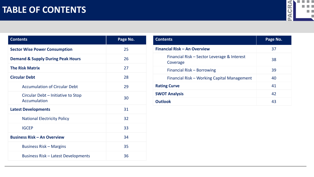

| <b>Contents</b>                                    | Page No. |
|----------------------------------------------------|----------|
| <b>Sector Wise Power Consumption</b>               | 25       |
| <b>Demand &amp; Supply During Peak Hours</b>       | 26       |
| <b>The Risk Matrix</b>                             | 27       |
| <b>Circular Debt</b>                               | 28       |
| <b>Accumulation of Circular Debt</b>               | 29       |
| Circular Debt – Initiative to Stop<br>Accumulation | 30       |
| <b>Latest Developments</b>                         | 31       |
| <b>National Electricity Policy</b>                 | 32       |
| <b>IGCEP</b>                                       | 33       |
| <b>Business Risk - An Overview</b>                 | 34       |
| <b>Business Risk – Margins</b>                     | 35       |
| <b>Business Risk - Latest Developments</b>         | 36       |

| <b>Contents</b>                                         | Page No. |
|---------------------------------------------------------|----------|
| <b>Financial Risk - An Overview</b>                     | 37       |
| Financial Risk – Sector Leverage & Interest<br>Coverage | 38       |
| Financial Risk - Borrowing                              | 39       |
| Financial Risk - Working Capital Management             | 40       |
| <b>Rating Curve</b>                                     | 41       |
| <b>SWOT Analysis</b>                                    | 42       |
| <b>Outlook</b>                                          | 43       |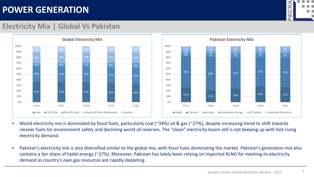

### **Electricity Mix | Global Vs Pakistan**



- World electricity mix is dominated by fossil fuels, particularly coal (~34%) oil & gas (~27%), despite increasing trend to shift towards cleaner fuels for environment safety and declining world oil reserves. The "clean" electricity boom still is not keeping up with fast-rising electricity demand.
- Pakistan's electricity mix is also diversified similar to the global mix, with fossil fuels dominating the market. Pakistan's generation mix also contains a fair share of hydel energy (~27%). Moreover, Pakistan has lately been relying on imported RLNG for meeting its electricity demand as country's own gas resources are rapidly depleting.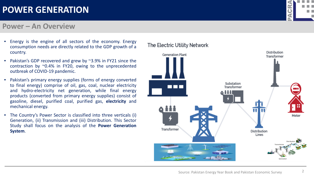#### **Power – An Overview**

- Energy is the engine of all sectors of the economy. Energy consumption needs are directly related to the GDP growth of a country.
- Pakistan's GDP recovered and grew by ~3.9% in FY21 since the contraction by ~0.4% in FY20, owing to the unprecedented outbreak of COVID-19 pandemic.
- Pakistan's primary energy supplies (forms of energy converted to final energy) comprise of oil, gas, coal, nuclear electricity and hydro-electricity net generation, while final energy products (converted from primary energy supplies) consist of gasoline, diesel, purified coal, purified gas, **electricity** and mechanical energy.
- The Country's Power Sector is classified into three verticals (i) Generation, (ii) Transmission and (iii) Distribution. This Sector Study shall focus on the analysis of the **Power Generation System**.

#### The Electric Utility Network

**Generation Plant** 

0 11 1

Transformer

**Distribution** Lines

Substation Transformer



Mete

**Distribution** 

Transformer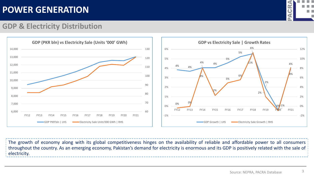

### **GDP & Electricity Distribution**





The growth of economy along with its global competitiveness hinges on the availability of reliable and affordable power to all consumers throughout the country. As an emerging economy, Pakistan's demand for electricity is enormous and its GDP is positively related with the sale of electricity.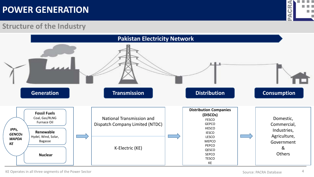

#### **Structure of the Industry**



KE Operates in all three segments of the Power Sector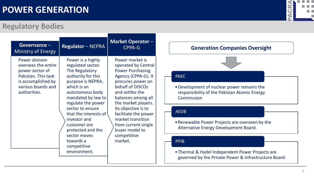### **Regulatory Bodies**

| Governance $-$<br><b>Ministry of Energy</b>                                                                                                        | <b>Regulator - NEPRA</b>                                                                                                                                                                                                                                                                                                                        | <b>Market Operator -</b><br>CPPA-G                                                                                                                                                                                                                                                                                                       |
|----------------------------------------------------------------------------------------------------------------------------------------------------|-------------------------------------------------------------------------------------------------------------------------------------------------------------------------------------------------------------------------------------------------------------------------------------------------------------------------------------------------|------------------------------------------------------------------------------------------------------------------------------------------------------------------------------------------------------------------------------------------------------------------------------------------------------------------------------------------|
| <b>Power division</b><br>oversees the entire<br>power sector of<br>Pakistan. This task<br>is accomplished by<br>various boards and<br>authorities. | Power is a highly<br>regulated sector.<br>The Regulatory<br>authority for this<br>purpose is NEPRA,<br>which is an<br>autonomous body<br>mandated by law to<br>regulate the power<br>sector to ensure<br>that the interests of<br>investor and<br>customer are<br>protected and the<br>sector moves<br>towards a<br>competitive<br>environment. | Power market is<br>operated by Central<br><b>Power Purchasing</b><br>Agency (CPPA-G). It<br>procures power on<br>behalf of DISCOs<br>and settles the<br>balances among all<br>the market players.<br>Its objective is to<br>facilitate the power<br>market transition<br>from current single<br>buyer model to<br>competitive<br>market. |



#### **Generation Companies Oversight**

#### PAEC

•Development of nuclear power remains the responsibility of the Pakistan Atomic Energy Commission

#### AEDB

•Renewable Power Projects are overseen by the Alternative Energy Development Board.

#### PPIB

•Thermal & Hydel Independent Power Projects are governed by the Private Power & Infrastructure Board.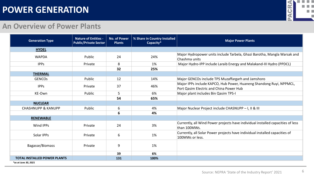

#### **An Overview of Power Plants**

| <b>Generation Type</b>              | <b>Nature of Entities -</b><br><b>Public/Private Sector</b> | <b>No. of Power</b><br><b>Plants</b> | % Share in Country Installed<br>Capacity* | <b>Major Power Plants</b>                                                                                      |
|-------------------------------------|-------------------------------------------------------------|--------------------------------------|-------------------------------------------|----------------------------------------------------------------------------------------------------------------|
| <b>HYDEL</b>                        |                                                             |                                      |                                           |                                                                                                                |
| <b>WAPDA</b>                        | Public                                                      | 24                                   | 24%                                       | Major Hydropower units include Tarbela, Ghazi Barotha, Mangla Warsak and<br>Chashma units                      |
| <b>IPPs</b>                         | Private                                                     | 8                                    | 1%                                        | Major Hydro-IPP include Laraib Energy and Malakand-III Hydro (PPDCL)                                           |
|                                     |                                                             | 32                                   | 25%                                       |                                                                                                                |
| <b>THERMAL</b>                      |                                                             |                                      |                                           |                                                                                                                |
| <b>GENCOS</b>                       | Public                                                      | 12                                   | 14%                                       | Major GENCOs include TPS Muzaffargarh and Jamshoro                                                             |
| <b>IPPs</b>                         | Private                                                     | 37                                   | 46%                                       | Major IPPs include KAPCO, Hub Power, Huaneng Shandong Ruyi, NPPMCL,<br>Port Qasim Electric and China Power Hub |
| KE-Own                              | Public                                                      | 5                                    | 6%                                        | Major plant includes Bin Qasim TPS-I                                                                           |
|                                     |                                                             | 54                                   | 65%                                       |                                                                                                                |
| <b>NUCLEAR</b>                      |                                                             |                                      |                                           |                                                                                                                |
| <b>CHASHNUPP &amp; KANUPP</b>       | Public                                                      | 6                                    | 4%                                        | Major Nuclear Project include CHASNUPP - I, II & III                                                           |
|                                     |                                                             | 6                                    | 4%                                        |                                                                                                                |
| <b>RENEWABLE</b>                    |                                                             |                                      |                                           |                                                                                                                |
| Wind IPPs                           | Private                                                     | 24                                   | 3%                                        | Currently, all Wind Power projects have individual installed capacities of less<br>than 100MWs.                |
| Solar IPPs                          | Private                                                     | 6                                    | 1%                                        | Currently, all Solar Power projects have individual installed capacities of<br>100MWs or less.                 |
| Bagasse/Biomass                     | Private                                                     | 9                                    | 1%                                        |                                                                                                                |
|                                     |                                                             | 39                                   | 6%                                        |                                                                                                                |
| <b>TOTAL INSTALLED POWER PLANTS</b> |                                                             | 131                                  | 100%                                      |                                                                                                                |
| *as at June 30, 2021                |                                                             |                                      |                                           |                                                                                                                |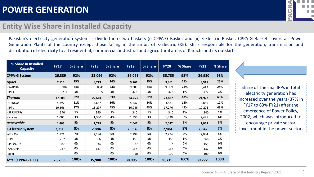#### **Entity Wise Share in Installed Capacity**

Pakistan's electricity generation system is divided into two baskets (i) CPPA-G Basket and (ii) K-Electric Basket. CPPA-G Basket covers all Power Generation Plants of the country except those falling in the ambit of K-Electric (KE). KE is responsible for the generation, transmission and distribution of electricity to all residential, commercial, industrial and agricultural areas of Karachi and its outskirts.

| % Share in Installed<br><b>Capacity</b> | <b>FY17</b>    | % Share | <b>FY18</b>              | % Share | <b>FY19</b> | % Share | <b>FY20</b> | % Share | <b>FY21</b> | % Share |
|-----------------------------------------|----------------|---------|--------------------------|---------|-------------|---------|-------------|---------|-------------|---------|
| <b>CPPA-G System</b>                    | 26,389         | 92%     | 33,096                   | 92%     | 36,061      | 92%     | 35,735      | 92%     | 36,930      | 93%     |
| <b>Hydel</b>                            | 7,116          | 25%     | 8,713                    | 24%     | 9,761       | 25%     | 9,861       | 25%     | 9,915       | 25%     |
| - WAPDA                                 | 6902           | 24%     | 8341                     | 23%     | 9,389       | 24%     | 9,389       | 24%     | 9,443       | 24%     |
| - IPPs                                  | 214            | 1%      | 372                      | 1%      | 372         | 1%      | 472         | 1%      | 472         | 1%      |
| <b>Thermal</b>                          | 17,808         | 62%     | 22,604                   | 63%     | 24,253      | 62%     | 23,827      | 62%     | 24,972      | 63%     |
| GENCOS                                  | 5,897          | 21%     | 5,637                    | 16%     | 5,637       | 14%     | 4,881       | 13%     | 4,881       | 12%     |
| - IPPs                                  | 10,566         | 37%     | 15,297                   | 43%     | 16,946      | 43%     | 17,276      | 45%     | 17,276      | 43%     |
| SPPS/CPPs                               | 340            | 1%      | 340                      | 1%      | 340         | 1%      | 340         | 1%      | 340         | 1%      |
| - Nuclear                               | 1,005          | 3%      | 1,330                    | 4%      | 1,330       | 3%      | 1,330       | 3%      | 2,475       | 6%      |
| Renewable                               | 1,465          | 5%      | 1,779                    | 5%      | 2,047       | 5%      | 2,047       | 5%      | 2,043       | 5%      |
| <b>K-Electric System</b>                | 2,350          | 8%      | 2,884                    | 8%      | 2,934       | 8%      | 2,984       | 8%      | 2,842       | 7%      |
| -KE – Own                               | 1,874          | 7%      | 2,294                    | 6%      | 2,294       | 6%      | 2,294       | 6%      | 2,084       | 5%      |
| -IPPs                                   | 252            | 1%      | 366                      | 1%      | 366         | 1%      | 366         | 1%      | 366         | 1%      |
| -SPPs/CPPs                              | 87             | 0%      | 87                       | 0%      | 87          | 0%      | 87          | 0%      | 155         | 0%      |
| -KANUPP                                 | 137            | 0%      | 137                      | 0%      | 137         | 0%      | 137         | 0%      | 137         | 0%      |
| -Solar                                  | $\overline{a}$ | 0%      | $\overline{\phantom{a}}$ | 0%      | 50          | 0%      | 100         | 0%      | 100         | 0%      |
| Total (CPPA-G + KE)                     | 28,739         | 100%    | 35,980                   | 100%    | 38,995      | 100%    | 38,719      | 100%    | 39,772      | 100%    |

Share of Thermal IPPs in total electricity generation has increased over the years (37% in FY17 to 63% FY21) after the emergence of Power Policy, 2002, which was introduced to encourage private sector investment in the power sector.



7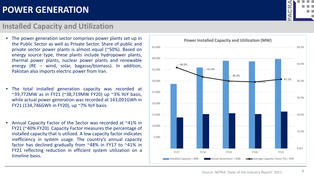#### **Installed Capacity and Utilization**

- The power generation sector comprises power plants set up in the Public Sector as well as Private Sector. Share of public and private sector power plants is almost equal (~50%). Based on energy source type, these plants include hydropower plants, thermal power plants, nuclear power plants and renewable energy (RE – wind, solar, bagasse/biomass). In addition, Pakistan also imports electric power from Iran.
- The total installed generation capacity was recorded at ~39,772MW as in FY21 (~38,719MW FY20) up ~3% YoY basis, while actual power generation was recorded at 143,091GWh in FY21 (134,746GWh in FY20), up ~7% YoY basis.
- Annual Capacity Factor of the Sector was recorded at ~41% in FY21 (~40% FY20). Capacity Factor measures the percentage of installed capacity that is utilized. A low capacity factor indicates inefficiency in system usage. The country's annual capacity factor has declined gradually from ~48% in FY17 to ~41% in FY21 reflecting reduction in efficient system utilization on a timeline basis.





8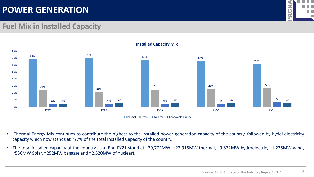

9

### **Fuel Mix in Installed Capacity**



- Thermal Energy Mix continues to contribute the highest to the installed power generation capacity of the country, followed by hydel electricity capacity which now stands at ~27% of the total Installed Capacity of the country.
- The total installed capacity of the country as at End-FY21 stood at ~39,772MW (~22,915MW thermal, ~9,872MW hydroelectric, ~1,235MW wind, ~536MW Solar, ~252MW bagasse and ~2,520MW of nuclear).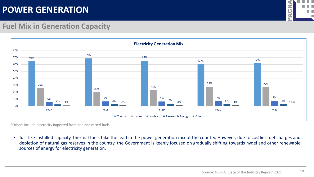

### **Fuel Mix in Generation Capacity**



\*Others include electricity imported from Iran and mixed fuels

• Just like Installed capacity, thermal fuels take the lead in the power generation mix of the country. However, due to costlier fuel charges and depletion of natural gas reserves in the country, the Government is keenly focused on gradually shifting towards hydel and other renewable sources of energy for electricity generation.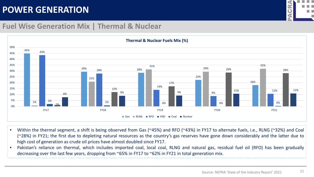

#### **Fuel Wise Generation Mix | Thermal & Nuclear**



- Within the thermal segment, a shift is being observed from Gas (~45%) and RFO (~43%) in FY17 to alternate fuels, i.e., RLNG (~32%) and Coal (~28%) in FY21; the first due to depleting natural resources as the country's gas reserves have gone down considerably and the latter due to high cost of generation as crude oil prices have almost doubled since FY17.
- Pakistan's reliance on thermal, which includes imported coal, local coal, RLNG and natural gas, residual fuel oil (RFO) has been gradually decreasing over the last few years, dropping from ~65% in FY17 to ~62% in FY21 in total generation mix.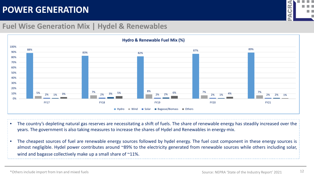

#### **Fuel Wise Generation Mix | Hydel & Renewables**



- The country's depleting natural gas reserves are necessitating a shift of fuels. The share of renewable energy has steadily increased over the years. The government is also taking measures to increase the shares of Hydel and Renewables in energy-mix.
- The cheapest sources of fuel are renewable energy sources followed by hydel energy. The fuel cost component in these energy sources is almost negligible. Hydel power contributes around ~89% to the electricity generated from renewable sources while others including solar, wind and bagasse collectively make up a small share of ~11%.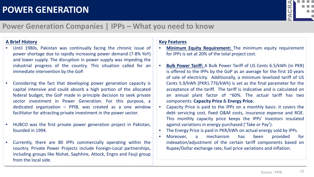

### **Power Generation Companies | IPPs – What you need to know**

#### **A Brief History**

- Until 1980s, Pakistan was continually facing the chronic issue of power shortage due to rapidly increasing power demand (7-8% YoY) and lower supply. The disruption in power supply was impeding the industrial progress of the country. This situation called for an immediate intervention by the GoP.
- Considering the fact that developing power generation capacity is capital intensive and could absorb a high portion of the allocated federal budget, the GoP made in principle decision to seek private sector investment in Power Generation. For this purpose, a dedicated organization – PPIB, was created as a one window facilitator for attracting private investment in the power sector.
- HUBCO was the first private power generation project in Pakistan, founded in 1994.
- Currently, there are 80 IPPs commercially operating within the country. Private Power Projects include Foreign-Local partnerships, including groups like Nishat, Saphhire, Attock, Engro and Fauji group from the local side.

#### **Key Features**

- **Minimum Equity Requirement:** The minimum equity requirement for IPPs is set at 20% of the total project cost.
- **Bulk Power Tariff:** A Bulk Power Tariff of US Cents 6.5/kWh (in PKR) is offered to the IPPs by the GoP as an average for the first 10 years of sale of electricity. Additionally, a minimum levelized tariff of US Cents 5.9/kWh (PKR1.776/kWh) is set as the final parameter for the acceptance of the tariff. The tariff is indicative and is calculated on an annual plant factor of  $^{\sim}60\%$ . The actual tariff has two components: **Capacity Price** & **Energy Price.**
- Capacity Price is paid to the IPPs on a monthly basis: it covers the debt servicing cost, fixed O&M costs, insurance expense and ROE. This monthly capacity price keeps the IPPs' investors insulated against variations in energy purchased ('Take or Pay').
- The Energy Price is paid in PKR/kWh on actual energy sold by IPPs.
- Moreover, a mechanism has been provided for indexation/adjustment of the certain tariff components based on Rupee/Dollar exchange rate, fuel price variations and inflation.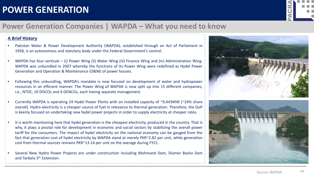

### **Power Generation Companies | WAPDA – What you need to know**

#### **A Brief History**

- Pakistan Water & Power Development Authority (WAPDA), established through an Act of Parliament in 1958, is an autonomous and statutory body under the Federal Government's control.
- WAPDA has four verticals (i) Power Wing (ii) Water Wing (iii) Finance Wing and (iv) Administration Wing. WAPDA was unbundled in 2007 whereby the functions of its Power Wing were redefined as Hydel Power Generation and Operation & Maintenance (O&M) of power houses.
- Following this unbundling, WAPDA's mandate is now focused on development of water and hydropower resources in an efficient manner. The Power Wing of WAPDA is now split up into 15 different companies, i.e., NTDC, 10 DISCOs and 4 GENCOs, each having separate management.
- Currently WAPDA is operating 24 Hydel Power Plants with an installed capacity of  $\sim$ 9,443MW ( $\sim$ 24% share overall). Hydro-electricity is a cheaper source of fuel in relevance to thermal generation. Therefore, the GoP is keenly focused on undertaking new hydel power projects in order to supply electricity at cheaper rates.
- It is worth mentioning here that hydel generation is the cheapest electricity, produced in the country. That is why, it plays a pivotal role for development in economic and social sectors by stabilizing the overall power tariff for the consumers. The impact of hydel electricity on the national economy can be gauged from the fact that generation cost of hydel electricity by WAPDA stand at merely PKR~2.82 per unit, while generation cost from thermal sources remains PKR~13.14 per unit on the average during FY21.
- Several New Hydro Power Projects are under construction including Mohmand Dam, Diamer Basha Dam and Tarbela 5<sup>th</sup> Extension.



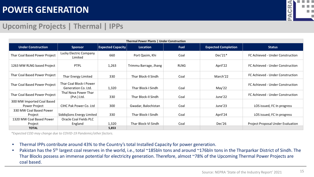

### **Upcoming Projects | Thermal | IPPs**

| Thermal Power Plants   Under Construction   |                                                |                          |                       |             |                            |                                          |  |  |
|---------------------------------------------|------------------------------------------------|--------------------------|-----------------------|-------------|----------------------------|------------------------------------------|--|--|
| <b>Under Construction</b>                   | <b>Sponsor</b>                                 | <b>Expected Capacity</b> | Location              | <b>Fuel</b> | <b>Expected Completion</b> | <b>Status</b>                            |  |  |
| Thar Coal Based Power Project               | Lucky Electric Company<br>Limited              | 660                      | Port Qasim, Khi       | Coal        | Dec'21*                    | FC Achieved - Under Construction         |  |  |
| 1263 MW RLNG based Project                  | <b>PTPL</b>                                    | 1,263                    | Trimmu Barrage, Jhang | <b>RLNG</b> | April'22                   | FC Achieved - Under Construction         |  |  |
| Thar Coal Based Power Project               | Thar Energy Limited                            | 330                      | Thar Block-II Sindh   | Coal        | March'22                   | FC Achieved - Under Construction         |  |  |
| Thar Coal Based Power Project               | Thar Coal Block-I Power<br>Generation Co. Ltd. | 1,320                    | Thar Block-I Sindh    | Coal        | May'22                     | FC Achieved - Under Construction         |  |  |
| Thar Coal Based Power Project               | Thal Nova Power Thar<br>(Pvt.) Ltd.            | 330                      | Thar Block-II Sindh   | Coal        | June'22                    | FC Achieved - Under Construction         |  |  |
| 300 MW Imported Coal Based<br>Power Project | CIHC Pak Power Co. Ltd                         | 300                      | Gwadar, Balochistan   | Coal        | June'23                    | LOS issued, FC In progress               |  |  |
| 330 MW Coal Based Power<br>Project          | SiddigSons Energy Limited                      | 330                      | Thar Block-I Sindh    | Coal        | April'24                   | LOS issued, FC In progress               |  |  |
| 1320 MW Coal Based Power<br>Project         | Oracle Coal Fields PLC<br>England              | 1,320                    | Thar Block-VI Sindh   | Coal        | Dec'26                     | <b>Project Proposal Under Evaluation</b> |  |  |
| <b>TOTAL</b>                                |                                                | 5,853                    |                       |             |                            |                                          |  |  |

*\*Expected COD may change due to COVID-19 Pandemic/other factors.*

- Thermal IPPs contribute around 43% to the Country's total Installed Capacity for power generation.
- Pakistan has the 5<sup>th</sup> largest coal reserves in the world, i.e., total ~185bln tons and around ~176bln tons in the Tharparkar District of Sindh. The Thar Blocks possess an immense potential for electricity generation. Therefore, almost ~78% of the Upcoming Thermal Power Projects are coal based.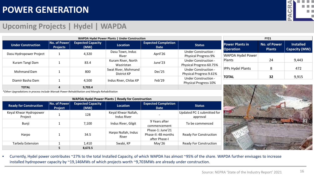

### **Upcoming Projects | Hydel | WAPDA**

| <b>WAPDA Hydel Power Plants   Under Construction</b> |                                 |                                  |                                    |                                                            |                                                            |                                     | <b>FY21</b>                          |                                          |
|------------------------------------------------------|---------------------------------|----------------------------------|------------------------------------|------------------------------------------------------------|------------------------------------------------------------|-------------------------------------|--------------------------------------|------------------------------------------|
| <b>Under Construction</b>                            | No. of Power<br><b>Projects</b> | <b>Expected Capacity</b><br>(MW) | Location                           | <b>Expected Completion</b><br><b>Status</b><br><b>Date</b> |                                                            | <b>Power Plants in</b><br>Operation | <b>No. of Power</b><br><b>Plants</b> | <b>Installed</b><br><b>Capacity (MW)</b> |
| Dasu Hydropower Project                              |                                 | 4,320                            | Dasu Town, Indus<br>River          | April'26                                                   | <b>Under Construction -</b><br><b>Physical Progress 9%</b> | WAPDA Hydel Power                   |                                      |                                          |
| Kuram Tangi Dam                                      |                                 | 83.4                             | Kuram River, North<br>Waziristan   | June'23                                                    | <b>Under Construction -</b><br>Physical Progress 60.75%    | Plants                              | 24                                   | 9,443                                    |
| Mohmand Dam                                          |                                 | 800                              | Swat River, Mohmand<br>District KP | Dec'25                                                     | <b>Under Construction -</b><br>Physical Progress 9.61%     | <b>IPPs Hydel Plants</b>            | 8                                    | 472                                      |
| Diamir Basha Dam                                     |                                 | 4,500                            | Indus River, Chilas KP             | Feb'29                                                     | <b>Under Construction -</b><br>Physical Progress 10%       | <b>TOTAL</b>                        | 32                                   | 9,915                                    |
| <b>TOTAL</b>                                         | $\overline{a}$                  | 9,703.4                          |                                    |                                                            |                                                            |                                     |                                      |                                          |

*\*Other Upgradations in process include Warsak Power Rehabilitation and Mangla Rehabilitation*

| <b>WAPDA Hydel Power Plants   Ready for Construction</b> |                         |                                  |                                           |                                                          |                                        |  |  |
|----------------------------------------------------------|-------------------------|----------------------------------|-------------------------------------------|----------------------------------------------------------|----------------------------------------|--|--|
| <b>Ready for Construction</b>                            | No. of Power<br>Project | <b>Expected Capacity</b><br>(MW) | <b>Location</b>                           | <b>Expected Completion</b><br><b>Date</b>                | <b>Status</b>                          |  |  |
| Keyal Khwar Hydropower<br>Project                        |                         | 128                              | Keyal Khwar Nallah,<br><b>Indus River</b> |                                                          | Updated PC-1 submitted for<br>approval |  |  |
| Bunji                                                    |                         | 7.100                            | Indus River, Gilgit                       | 9 Years after<br>commencement                            | To be commenced                        |  |  |
| Harpo                                                    |                         | 34.5                             | Harpo Nullah, Indus<br>River              | Phase-1: June'21<br>Phase-II: 48 months<br>after Phase-I | <b>Ready For Construction</b>          |  |  |
| Tarbela Extension                                        |                         | 1,410                            | Swabi, KP                                 | May'26                                                   | <b>Ready For Construction</b>          |  |  |
|                                                          | 5                       | 8.672.5                          |                                           |                                                          |                                        |  |  |



• Currently, Hydel power contributes ~27% to the total Installed Capacity, of which WAPDA has almost ~95% of the share. WAPDA further envisages to increase installed hydropower capacity by ~19,146MWs of which projects worth ~9,703MWs are already under construction.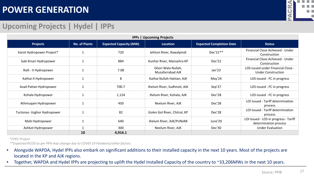

### **Upcoming Projects | Hydel | IPPs**

| <b>IPPs   Upcoming Projects</b> |                      |                               |                                        |                                 |                                                                 |  |  |
|---------------------------------|----------------------|-------------------------------|----------------------------------------|---------------------------------|-----------------------------------------------------------------|--|--|
| <b>Projects</b>                 | <b>No. of Plants</b> | <b>Expected Capacity (MW)</b> | Location                               | <b>Expected Completion Date</b> | <b>Status</b>                                                   |  |  |
| Karot Hydropower Project*       |                      | 720                           | Jehlum River, Rawalpindi               | Dec'21**                        | Financial Close Achieved - Under<br>Construction                |  |  |
| Suki Kinari Hydropower          |                      | 884                           | Kunhar River, Mansehra KP              | Dec'22                          | Financial Close Achieved - Under<br>Construction                |  |  |
| Raili - II Hydropower           | $\mathbf{1}$         | 7.08                          | Ghori Wala Nullah,<br>Muzafarrabad AJK | Jan'23                          | LOS issued under Financial Close -<br><b>Under Construction</b> |  |  |
| Kathai-II Hydropower            | $\mathbf{1}$         | 8                             | Kathai Nullah Hattian, AJK             | May'24                          | LOS issued - FC in progress                                     |  |  |
| Azad Pattan Hydropower          | $\mathbf{1}$         | 700.7                         | Jhelum River, Sudhnoti, AJK            | Sep'27                          | LOS issued - FC in progress                                     |  |  |
| Kohala Hydropower               | $\mathbf{1}$         | 1,124                         | Jhelum River, Kohala, AJK              | Dec'28                          | LOS issued - FC in progress                                     |  |  |
| Athmuqam Hydropower             |                      | 450                           | Neelum River, AJK                      | Dec'28                          | LOI Issued - Tariff determination<br>process                    |  |  |
| Turtonas- Uzghor Hydropower     | $\mathbf{1}$         | 82                            | Golen Gol River, Chitral, KP           | Dec'28                          | LOI Issued - Tariff determination<br>process                    |  |  |
| Mahi Hydropower                 | $\mathbf{1}$         | 640                           | Jhelum River, AJK/PUNJAB               | June'29                         | LOI Issued - LOS in progress- Tariff<br>determination process   |  |  |
| Ashkot Hydropower               |                      | 300                           | Neelum River, AJK                      | Dec'30                          | <b>Under Evaluation</b>                                         |  |  |
|                                 | 10                   | 4,916.1                       |                                        |                                 |                                                                 |  |  |

*\*CPEC Project*

*\*\*Expected RCOD as per PPA may change due to COVID-19 Pandemic/other factors.*

- Alongside WAPDA, Hydel IPPs also embark on significant additions to their installed capacity in the next 10 years. Most of the projects are located in the KP and AJK regions.
- Together, WAPDA and Hydel IPPs are projecting to uplift the Hydel Installed Capacity of the country to ~33,206MWs in the next 10 years.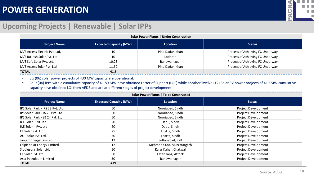

### **Upcoming Projects | Renewable | Solar IPPs**

| <b>Solar Power Plants   Under Construction</b> |                               |                 |                                  |  |  |  |
|------------------------------------------------|-------------------------------|-----------------|----------------------------------|--|--|--|
| <b>Project Name</b>                            | <b>Expected Capacity (MW)</b> | <b>Location</b> | <b>Status</b>                    |  |  |  |
| M/S Access Electric Pvt. Ltd.                  | 10                            | Pind Dadan Khan | Process of Achieving FC Underway |  |  |  |
| M/S Bukhsh Solar Pvt. Ltd.                     | 10                            | Lodhran         | Process of Achieving FC Underway |  |  |  |
| M/S Safe Solar Pvt. Ltd.                       | 10.28                         | Bahawalnagar    | Process of Achieving FC Underway |  |  |  |
| M/S Access Solar Pvt. Ltd.                     | 11.52                         | Pind Dadan Khan | Process of Achieving FC Underway |  |  |  |
| <b>TOTAL</b>                                   | 41.8                          |                 |                                  |  |  |  |

• Six (06) solar power projects of 430 MW capacity are operational.

• Four (04) IPPs with a cumulative capacity of 41.80 MW have obtained Letter of Support (LOS) while another Twelve (12) Solar PV power projects of 419 MW cumulative capacity have obtained LOI from AEDB and are at different stages of project development.

| Solar Power Plants   To be Constructed |                               |                           |                            |  |
|----------------------------------------|-------------------------------|---------------------------|----------------------------|--|
| <b>Project Name</b>                    | <b>Expected Capacity (MW)</b> | <b>Location</b>           | <b>Status</b>              |  |
| IPS Solar Park - IPS 22 Pvt. Ltd.      | 50                            | Nooriabad, Sindh          | <b>Project Development</b> |  |
| IPS Solar Park - JA 23 Pvt. Ltd.       | 50                            | Nooriabad, Sindh          | <b>Project Development</b> |  |
| IPS Solar Park - SB 24 Pvt. Ltd.       | 50                            | Nooriabad, Sindh          | <b>Project Development</b> |  |
| R.E Solar I Pvt. Ltd                   | 20                            | Dadu, Sindh               | <b>Project Development</b> |  |
| R.E Solar II Pvt. Ltd                  | 20                            | Dadu, Sindh               | <b>Project Development</b> |  |
| ET Solar Pyt. Ltd.                     | 25                            | Thatta, Sindh             | <b>Project Development</b> |  |
| <b>ACT Solar Pvt. Ltd.</b>             | 50                            | Thatta, Sindh             | <b>Project Development</b> |  |
| Janpur Energy Limited                  | 12                            | Sultanabad, RYK           | <b>Project Development</b> |  |
| Lalpir Solar Energy Limited            | 12                            | Mehmood Kot, Muzzafargarh | <b>Project Development</b> |  |
| Siddigsons Solar Ltd.                  | 50                            | Kalar Kahar, Chakwal      | <b>Project Development</b> |  |
| <b>ET Solar Pvt. Ltd.</b>              | 50                            | Fateh Jang, Attock        | <b>Project Development</b> |  |
| Asia Petroleum Limited                 | 30                            | Bahawalnagar              | <b>Project Development</b> |  |
| <b>TOTAL</b>                           | 419                           |                           |                            |  |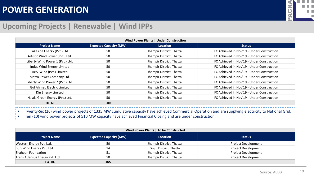

### **Upcoming Projects | Renewable | Wind IPPs**

| Wind Power Plants   Under Construction |                               |                          |                                            |  |  |
|----------------------------------------|-------------------------------|--------------------------|--------------------------------------------|--|--|
| <b>Project Name</b>                    | <b>Expected Capacity (MW)</b> | <b>Location</b>          | <b>Status</b>                              |  |  |
| Lakeside Energy (Pvt.) Ltd.            | 50                            | Jhampir District, Thatta | FC Achieved in Nov'19 - Under Construction |  |  |
| Artistic Wind Power (Pvt.) Ltd.        | 50                            | Jhampir District, Thatta | FC Achieved in Nov'19 - Under Construction |  |  |
| Liberty Wind Power 1 (Pvt.) Ltd.       | 50                            | Jhampir District, Thatta | FC Achieved in Nov'19 - Under Construction |  |  |
| Indus Wind Energy Limited              | 50                            | Jhampir District, Thatta | FC Achieved in Nov'19 - Under Construction |  |  |
| Act2 Wind (Pvt.) Limited               | 50                            | Jhampir District, Thatta | FC Achieved in Nov'19 - Under Construction |  |  |
| Metro Power Company Ltd.               | 50                            | Jhampir District, Thatta | FC Achieved in Nov'19 - Under Construction |  |  |
| Liberty Wind Power 2 (Pvt.) Ltd.       | 50                            | Jhampir District, Thatta | FC Achieved in Nov'19 - Under Construction |  |  |
| <b>Gul Ahmed Electric Limited</b>      | 50                            | Jhampir District, Thatta | FC Achieved in Nov'19 - Under Construction |  |  |
| Din Energy Limited                     | 50                            | Jhampir District, Thatta | FC Achieved in Nov'19 - Under Construction |  |  |
| Nasda Green Energy (Pvt.) Ltd.         | 50                            | Jhampir District, Thatta | FC Achieved in Nov'19 - Under Construction |  |  |
| <b>TOTAL</b>                           | 500                           |                          |                                            |  |  |

• Twenty-Six (26) wind power projects of 1335 MW cumulative capacity have achieved Commercial Operation and are supplying electricity to National Grid.

• Ten (10) wind power projects of 510 MW capacity have achieved Financial Closing and are under construction.

| Wind Power Plants   To be Constructed |                               |                          |                            |  |
|---------------------------------------|-------------------------------|--------------------------|----------------------------|--|
| <b>Project Name</b>                   | <b>Expected Capacity (MW)</b> | <b>Location</b>          | <b>Status</b>              |  |
| Western Energy Pvt. Ltd.              | 50                            | Jhampir District, Thatta | <b>Project Development</b> |  |
| Burj Wind Energy Pvt. Ltd             | 14                            | Gujju District, Thatta   | Project Development        |  |
| Shaheen Foundation                    | 51                            | Jhampir District, Thatta | <b>Project Development</b> |  |
| Trans Atlanstis Energy Pvt. Ltd       | 50                            | Jhampir District, Thatta | <b>Project Development</b> |  |
| TOTAL                                 | 165                           |                          |                            |  |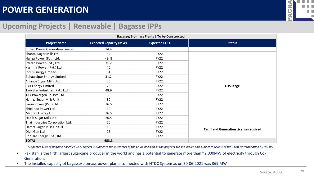

#### **Upcoming Projects | Renewable | Bagasse IPPs**

| Bagasse/Bio-mass Plants   To be Constructed |                               |                     |                                               |  |
|---------------------------------------------|-------------------------------|---------------------|-----------------------------------------------|--|
| <b>Project Name</b>                         | <b>Expected Capacity (MW)</b> | <b>Expected COD</b> | <b>Status</b>                                 |  |
| <b>Etthad Power Generation Limited</b>      | 74.4                          |                     |                                               |  |
| Shahtaj Sugar Mills Ltd.                    | 32                            | <b>FY22</b>         |                                               |  |
| Hunza Power (Pvt.) Ltd.                     | 49.8                          | <b>FY22</b>         |                                               |  |
| Ittefaq Power (Pvt.) Ltd.                   | 31.2                          | <b>FY22</b>         |                                               |  |
| Kashmir Power (Pvt.) Ltd.                   | 40                            | <b>FY22</b>         |                                               |  |
| Indus Energy Limited                        | 31                            | <b>FY22</b>         |                                               |  |
| <b>Bahawalpur Energy Limited</b>            | 31.2                          | <b>FY22</b>         |                                               |  |
| Alliance Sugar Mills Ltd.                   | 30                            | <b>FY22</b>         |                                               |  |
| <b>RYK Energy Limited</b>                   | 25                            | <b>FY22</b>         | <b>LOS Stage</b>                              |  |
| Two Star Industries (Pvt.) Ltd.             | 48.9                          | <b>FY22</b>         |                                               |  |
| TAY Powergen Co. Pvt. Ltd.                  | 30                            | <b>FY22</b>         |                                               |  |
| Hamza Sugar Mills Unit-II                   | 30                            | <b>FY22</b>         |                                               |  |
| Faran Power (Pvt.) Ltd.                     | 26.5                          | <b>FY22</b>         |                                               |  |
| Shiekhoo Power Ltd.                         | 30                            | <b>FY22</b>         |                                               |  |
| Mehran Energy Ltd.                          | 26.5                          | <b>FY22</b>         |                                               |  |
| Habib Sugar Mills Ltd.                      | 26.5                          | <b>FY22</b>         |                                               |  |
| Thai Industries Corporation Ltd.            | 20                            | <b>FY22</b>         |                                               |  |
| Hamza Sugar Mills Unit-Ill                  | 15                            | <b>FY22</b>         |                                               |  |
| Digri Gen Ltd                               | 25                            | <b>FY22</b>         | <b>Tariff and Generation License required</b> |  |
| Popular Energy (Pvt.) Itd.                  | 30                            | <b>FY22</b>         |                                               |  |
| <b>TOTAL</b>                                | 653.3                         |                     |                                               |  |

*\*Expected COD of Bagasse based Power Projects is subject to the outcomes of the Court decision as the projects are sub-judice and subject to review of the Tariff Determination by NEPRA.*

- Pakistan is the fifth largest sugarcane producer in the world and has a potential to generate more than ~2,000MW of electricity through Co-Generation.
- The installed capacity of bagasse/biomass power plants connected with NTDC System as on 30-06-2021 was 369 MW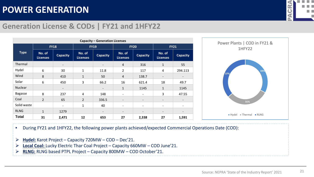

### **Generation License & CODs | FY21 and 1HFY22**

| <b>Capacity - Generation Licenses</b> |                           |                          |                           |                          |                           |                          |                           |                          |
|---------------------------------------|---------------------------|--------------------------|---------------------------|--------------------------|---------------------------|--------------------------|---------------------------|--------------------------|
|                                       |                           | <b>FY18</b>              | <b>FY19</b>               |                          | <b>FY20</b>               |                          | <b>FY21</b>               |                          |
| <b>Type</b>                           | No. of<br><b>Licenses</b> | <b>Capacity</b>          | No. of<br><b>Licenses</b> | <b>Capacity</b>          | No. of<br><b>Licenses</b> | <b>Capacity</b>          | No. of<br><b>Licenses</b> | <b>Capacity</b>          |
| Thermal                               |                           | $\overline{\phantom{a}}$ |                           | $\overline{\phantom{a}}$ | $\overline{4}$            | 316                      | $\mathbf{1}$              | 55                       |
| Hydel                                 | 6                         | 30                       | $\mathbf{1}$              | 11.8                     | $\overline{2}$            | 117                      | $\overline{4}$            | 294.113                  |
| Wind                                  | 8                         | 410                      | $\mathbf{1}$              | 50                       | $\overline{4}$            | 138.7                    | $\overline{\phantom{a}}$  | $\overline{\phantom{a}}$ |
| Solar                                 | 6                         | 450                      | 3                         | 66.2                     | 16                        | 621.4                    | 18                        | 49.7                     |
| <b>Nuclear</b>                        |                           | $\overline{\phantom{a}}$ |                           | $\overline{\phantom{a}}$ | $\mathbf{1}$              | 1145                     | $\mathbf{1}$              | 1145                     |
| <b>Bagasse</b>                        | 8                         | 237                      | 4                         | 148                      | $\overline{\phantom{0}}$  | $\overline{\phantom{a}}$ | 3                         | 47.55                    |
| Coal                                  | $\overline{2}$            | 65                       | $\overline{2}$            | 336.5                    | $\overline{\phantom{a}}$  | $\overline{\phantom{a}}$ | $\overline{\phantom{a}}$  | -                        |
| Solid waste                           |                           | $\overline{\phantom{a}}$ | $\mathbf{1}$              | 40                       | $\overline{\phantom{a}}$  | $\overline{\phantom{a}}$ | $\overline{\phantom{a}}$  | $\overline{\phantom{a}}$ |
| <b>RLNG</b>                           | $\mathbf{1}$              | 1279                     |                           | $\overline{\phantom{a}}$ | $\overline{\phantom{a}}$  | $\overline{\phantom{a}}$ | $\overline{\phantom{a}}$  | $\overline{\phantom{0}}$ |
| <b>Total</b>                          | 31                        | 2,471                    | 12                        | 653                      | 27                        | 2,338                    | 27                        | 1,591                    |



• During FY21 and 1HFY22, the following power plants achieved/expected Commercial Operations Date (COD):

- **Hydel:** Karot Project Capacity 720MW COD Dec'21.
- **Local Coal:** Lucky Electric Thar Coal Project Capacity 660MW COD June'21.
- **RLNG:** RLNG based PTPL Project Capacity 800MW COD October'21.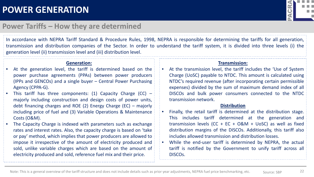

#### **Power Tariffs – How they are determined**

In accordance with NEPRA Tariff Standard & Procedure Rules, 1998, NEPRA is responsible for determining the tariffs for all generation, transmission and distribution companies of the Sector. In order to understand the tariff system, it is divided into three levels (i) the generation level (ii) transmission level and (iii) distribution level.

#### **Generation:**

- At the generation level, the tariff is determined based on the power purchase agreements (PPAs) between power producers (IPPs and GENCOs) and a single buyer – Central Power Purchasing Agency (CPPA-G).
- This tariff has three components: (1) Capacity Charge (CC)  $$ majorly including construction and design costs of power units, debt financing charges and ROE (2) Energy Charge (EC) – majorly including price of fuel and (3) Variable Operations & Maintenance Costs (O&M).
- The Capacity Charge is indexed with parameters such as exchange rates and interest rates. Also, the capacity charge is based on 'take or pay' method, which implies that power producers are allowed to impose it irrespective of the amount of electricity produced and sold, unlike variable charges which are based on the amount of electricity produced and sold, reference fuel mix and their price.

#### **Transmission:**

At the transmission level, the tariff includes the 'Use of System Charge (UoSC) payable to NTDC. This amount is calculated using NTDC's required revenue (after incorporating certain permissible expenses) divided by the sum of maximum demand index of all DISCOs and bulk power consumers connected to the NTDC transmission network.

#### **Distribution**

- Finally, the retail tariff is determined at the distribution stage. This includes tariff determined at the generation and transmission levels (CC + EC +  $O&M$  + UoSC) as well as fixed distribution margins of the DISCOs. Additionally, this tariff also includes allowed transmission and distribution losses.
- While the end-user tariff is determined by NEPRA, the actual tariff is notified by the Government to unify tariff across all DISCOs.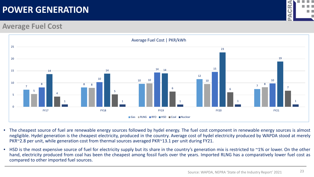

#### **Average Fuel Cost**



- The cheapest source of fuel are renewable energy sources followed by hydel energy. The fuel cost component in renewable energy sources is almost negligible. Hydel generation is the cheapest electricity, produced in the country. Average cost of hydel electricity produced by WAPDA stood at merely PKR~2.8 per unit, while generation cost from thermal sources averaged PKR~13.1 per unit during FY21.
- HSD is the most expensive source of fuel for electricity supply but its share in the country's generation mix is restricted to ~1% or lower. On the other hand, electricity produced from coal has been the cheapest among fossil fuels over the years. Imported RLNG has a comparatively lower fuel cost as compared to other imported fuel sources.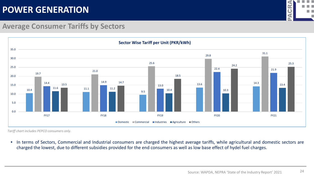

### **Average Consumer Tariffs by Sectors**



*Tariff chart includes PEPCO consumers only.*

• In terms of Sectors, Commercial and Industrial consumers are charged the highest average tariffs, while agricultural and domestic sectors are charged the lowest, due to different subsidies provided for the end consumers as well as low base effect of hydel fuel charges.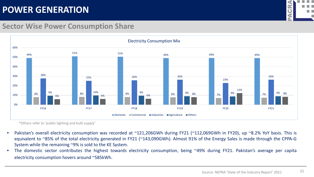

#### **Sector Wise Power Consumption Share**



\*Others refer to 'public lighting and bulk supply'

- Pakistan's overall electricity consumption was recorded at ~121,206GWh during FY21 (~112,069GWh in FY20), up ~8.2% YoY basis. This is equivalent to ~85% of the total electricity generated in FY21 (~143,090GWh). Almost 91% of the Energy Sales is made through the CPPA-G System while the remaining ~9% is sold to the KE System.
- The domestic sector contributes the highest towards electricity consumption, being ~49% during FY21. Pakistan's average per capita electricity consumption hovers around ~585kWh.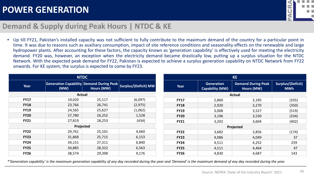

### **Demand & Supply during Peak Hours | NTDC & KE**

• Up till FY21, Pakistan's installed capacity was not sufficient to fully contribute to the maximum demand of the country for a particular point in time. It was due to reasons such as auxiliary consumption, impact of site reference conditions and seasonality effects on the renewable and large hydropower plants. After accounting for these factors, the capacity known as 'generation capability' is effectively used for meeting the electricity demand. FY20 was, however, an exception when the electricity demand became drastically low, putting up a surplus situation for the NTDC Network. With the expected peak demand for FY22, Pakistan is expected to achieve a surplus generation capability on NTDC Network from FY22 onwards. For KE system, the surplus is expected to come by FY23.

|             |                                                         | <b>NTDC</b>   |                      |             |                                             | <b>KE</b>                               |                                        |
|-------------|---------------------------------------------------------|---------------|----------------------|-------------|---------------------------------------------|-----------------------------------------|----------------------------------------|
| Year        | <b>Generation Capability Demand During Peak</b><br>(MW) | Hours (MW)    | Surplus/(Deficit) MW | Year        | <b>Generation</b><br><b>Capability (MW)</b> | <b>Demand During Peak</b><br>Hours (MW) | <b>Surplus/(Deficit)</b><br><b>MWh</b> |
|             |                                                         | <b>Actual</b> |                      |             |                                             | <b>Actual</b>                           |                                        |
| <b>FY17</b> | 19,020                                                  | 25,117        | (6,097)              | <b>FY17</b> | 2,860                                       | 3,195                                   | (335)                                  |
| <b>FY18</b> | 23,766                                                  | 26,741        | (2, 975)             | <b>FY18</b> | 2,920                                       | 3,270                                   | (350)                                  |
| <b>FY19</b> | 24,565                                                  | 25,627        | (1,062)              | <b>FY19</b> | 3,008                                       | 3,527                                   | (519)                                  |
| <b>FY20</b> | 27,780                                                  | 26,252        | 1,528                | <b>FY20</b> | 3,196                                       | 3,530                                   | (334)                                  |
| <b>FY21</b> | 27,819                                                  | 28,253        | (434)                | <b>FY21</b> | 3,202                                       | 3,604                                   | (402)                                  |
|             |                                                         | Projected     |                      |             |                                             | Projected                               |                                        |
| <b>FY22</b> | 29,761                                                  | 25,101        | 4,660                | <b>FY22</b> | 3,682                                       | 3,856                                   | (174)                                  |
| <b>FY23</b> | 31,868                                                  | 25,715        | 6,153                | <b>FY23</b> | 4,086                                       | 4,049                                   | 37                                     |
| <b>FY24</b> | 34,151                                                  | 27,311        | 6,840                | <b>FY24</b> | 4,511                                       | 4,252                                   | 259                                    |
| <b>FY25</b> | 34,885                                                  | 28,322        | 6,563                | <b>FY25</b> | 4,511                                       | 4,464                                   | 47                                     |
| <b>FY26</b> | 38,574                                                  | 29,398        | 9,176                | <b>FY26</b> | 4,830                                       | 4,687                                   | 143                                    |

*\*'Generation capability' is the maximum generation capability of any day recorded during the year and 'Demand' is the maximum demand of any day recorded during the year.*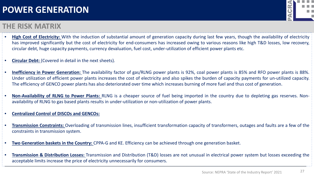#### **THE RISK MATRIX**



- **High Cost of Electricity:** With the induction of substantial amount of generation capacity during last few years, though the availability of electricity has improved significantly but the cost of electricity for end-consumers has increased owing to various reasons like high T&D losses, low recovery, circular debt, huge capacity payments, currency devaluation, fuel cost, under-utilization of efficient power plants etc.
- **Circular Debt:** (Covered in detail in the next sheets).
- **Inefficiency in Power Generation:** The availability factor of gas/RLNG power plants is 92%, coal power plants is 85% and RFO power plants is 88%. Under utilization of efficient power plants increases the cost of electricity and also spikes the burden of capacity payments for un-utilized capacity. The efficiency of GENCO power plants has also deteriorated over time which increases burning of more fuel and thus cost of generation.
- **Non-Availability of RLNG to Power Plants:** RLNG is a cheaper source of fuel being imported in the country due to depleting gas reserves. Nonavailability of RLNG to gas based plants results in under-utilization or non-utilization of power plants.
- **Centralized Control of DISCOs and GENCOs:**
- **Transmission Constraints:** Overloading of transmission lines, insufficient transformation capacity of transformers, outages and faults are a few of the constraints in transmission system.
- **Two Generation baskets in the Country:** CPPA-G and KE. Efficiency can be achieved through one generation basket.
- **Transmission & Distribution Losses:** Transmission and Distribution (T&D) losses are not unusual in electrical power system but losses exceeding the acceptable limits increase the price of electricity unnecessarily for consumers.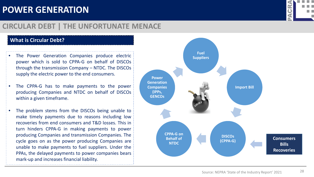# 

### **CIRCULAR DEBT | THE UNFORTUNATE MENACE**

#### **What is Circular Debt?**

- The Power Generation Companies produce electric power which is sold to CPPA-G on behalf of DISCOs through the transmission Company – NTDC. The DISCOs supply the electric power to the end consumers.
- The CPPA-G has to make payments to the power producing Companies and NTDC on behalf of DISCOs within a given timeframe.
- The problem stems from the DISCOs being unable to make timely payments due to reasons including low recoveries from end consumers and T&D losses. This in turn hinders CPPA-G in making payments to power producing Companies and transmission Companies. The cycle goes on as the power producing Companies are unable to make payments to fuel suppliers. Under the PPAs, the delayed payments to power companies bears mark-up and increases financial liability.

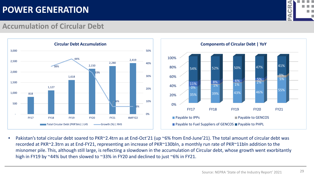

29

#### **Accumulation of Circular Debt**





• Pakistan's total circular debt soared to PKR~2.4trn as at End-Oct'21 (up ~6% from End-June'21). The total amount of circular debt was recorded at PKR~2.3trn as at End-FY21, representing an increase of PKR~130bln, a monthly run rate of PKR~11bln addition to the misnomer pile. This, although still large, is reflecting a slowdown in the accumulation of Circular debt, whose growth went exorbitantly high in FY19 by ~44% but then slowed to ~33% in FY20 and declined to just ~6% in FY21.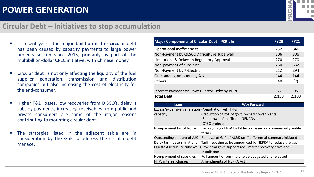

30

#### **Circular Debt – Initiatives to stop accumulation**

- In recent years, the major build-up in the circular debt has been caused by capacity payments to large power projects set up since 2015, primarily as part of the multibillion-dollar CPEC initiative, with Chinese money.
- Circular debt is not only affecting the liquidity of the fuel supplier, generation, transmission and distribution companies but also increasing the cost of electricity for the end-consumer.
- Higher T&D losses, low recoveries from DISCO's, delay is subsidy payments, increasing receivables from public and private consumers are some of the major reasons contributing to mounting circular debt.
- **The strategies listed in the adjacent table are in** consideration by the GoP to address the circular debt menace.

| <b>Major Components of Circular Debt - PKR'bln</b> | <b>FY20</b> | <b>FY21</b> |
|----------------------------------------------------|-------------|-------------|
| <b>Operational Inefficiencies</b>                  | 752         | 846         |
| Non-Payment by QESCO Agriculture Tube well         | 306         | 306         |
| Limitations & Delays in Regulatory Approval        | 270         | 270         |
| Non-payment of subsidies                           | 260         | 332         |
| Non-Payment by K-Electric                          | 212         | 294         |
| <b>Outstanding Amounts by AJK</b>                  | 144         | 144         |
| <b>Others</b>                                      | 140         | (7)         |
|                                                    |             |             |
| Interest Payment on Power Sector Debt by PHPL      | 66          | 95          |
| <b>Total Debt</b>                                  | 2,150       | 2,280       |

| <b>Issue</b>                                       | <b>Way Forward</b>                                                                     |
|----------------------------------------------------|----------------------------------------------------------------------------------------|
| Excess/expensive generation -Negotiation with IPPs |                                                                                        |
| capacity                                           | -Reduction of RoE of govt. owned power plants                                          |
|                                                    | -Shut down of inefficient GENCOs                                                       |
|                                                    | -CPEC projects                                                                         |
| Non-payment by K-Electric                          | Early signing of PPA by K-Electric based on commercially viable                        |
|                                                    | terms                                                                                  |
| Outstanding amount of AJK                          | Removal of GaP of AJ&K tariff differential-summary initiated                           |
| Delay tariff determinations                        | Tariff rebasing to be announced by NEPRA to reduce the gap                             |
|                                                    | Quetta Agriculture tube wells Provincial govt. support required for recovery drive and |
|                                                    | installation                                                                           |
| Non-payment of subsidies                           | Full amount of summary to be budgeted and released                                     |
| PHPL interest charges                              | <b>Amendments of NEPRA Act</b>                                                         |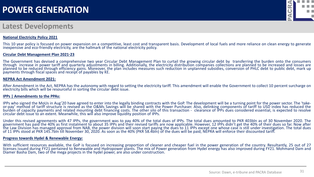#### **Latest Developments**

#### **National Electricity Policy 2021**



This 10 year policy is focused on power expansion on a competitive, least cost and transparent basis. Development of local fuels and more reliance on clean energy to generate inexpensive and eco-friendly electricity, are the hallmark of the national electricity policy.

#### **Circular Debt Management Plan 2021-23**

The Government has devised a comprehensive two year Circular Debt Management Plan to curtail the growing circular debt by transferring the burden onto the consumers through increase in power tariff and quarterly adjustments in billing. Additionally, the electricity distribution companies collections are planned to be increased and losses are planned to be reduced through efficiency gains. Moreover, the plan includes measures such reduction in unplanned subsidies, conversion of PHLC debt to public debt, mark up payments through fiscal spaces and receipt of payables by KE.

#### **NEPRA Act Amendment 2021:**

After Amendment in the Act, NEPRA has the autonomy with regard to setting the electricity tariff. This amendment will enable the Government to collect 10 percent surcharge on electricity bills which will be resourceful in sorting the circular debt issue.

#### **IPPs | Amendments to the PPAs:**

IPPs who signed the MoUs in Aug'20 have agreed to enter into the legally binding contracts with the GoP. The development will be a turning point for the power sector. The 'take-<br>or-pay' method of tariff structure is revise burden of capacity payments and related mounting debt financing costs. The other silo of this transaction - clearance of IPPs dues considered essential, is expected to resolve circular debt issue to an extent. Meanwhile, this will also improve liquidity position of IPPs.

Under this revised agreements with 47 IPPs, the government was to pay 40% of the total dues of IPPs. The total dues amounted to PKR 403bln as of 30 November 2020. The government has paid the 40% as first instalment to about 35 IPPs and their revised tariffs are now applicable. However, 12 IPPs didn't get the 40% of their dues so far. Now after the Law Division has managed approval from NAB, the power division will soon start paying the dues to 11 IPPs except one whose case is still under investigation. The total dues of 11 IPPs stood at PKR 145.7bln till November 30, 2020. As soon as the 40% (PKR 58.4bln) of the dues will be paid, NEPRA will enforce their discounted tariff.

#### **Progress towards Hydel & Renewable Energy:**

With sufficient resources available, the GoP is focused on increasing proportion of cleaner and cheaper fuel in the power generation of the country. Resultantly, 25 out of 27 licenses issued during FY21 pertained to Renewable and Hydropower plants. The mix of Power generation from Hydel energy has also improved during FY21. Mohmand Dam and Diamer Basha Dam, two of the mega projects in the hydel power, are also under construction.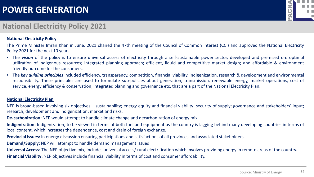#### <u>R</u>  $\bullet$ m n

### **National Electricity Policy 2021**

#### **National Electricity Policy**

The Prime Minister Imran Khan in June, 2021 chaired the 47th meeting of the Council of Common Interest (CCI) and approved the National Electricity Policy 2021 for the next 10 years.

- The *vision* of the policy is to ensure universal access of electricity through a self-sustainable power sector, developed and premised on: optimal utilization of indigenous resources; integrated planning approach; efficient, liquid and competitive market design; and affordable & environment friendly outcome for the consumers.
- The *key guiding principles* included efficiency, transparency, competition, financial viability, indigenization, research & development and environmental responsibility. These principles are used to formulate sub-policies about generation, transmission, renewable energy, market operations, cost of service, energy efficiency & conservation, integrated planning and governance etc. that are a part of the National Electricity Plan.

#### **National Electricity Plan**

NEP is broad-based involving six objectives – sustainability; energy equity and financial viability; security of supply; governance and stakeholders' input; research, development and indigenization; market and risks.

**De-carbonization:** NEP would attempt to handle climate change and decarbonization of energy mix.

**Indigenization:** Indigenization, to be viewed in terms of both fuel and equipment as the country is lagging behind many developing countries in terms of local content, which increases the dependence, cost and drain of foreign exchange.

**Provincial Issues:** In energy discussion ensuring participations and satisfactions of all provinces and associated stakeholders.

**Demand/Supply:** NEP will attempt to handle demand management issues

**Universal Access:** The NEP objective mix, includes universal access/ rural electrification which involves providing energy in remote areas of the country. **Financial Viability:** NEP objectives include financial viability in terms of cost and consumer affordability.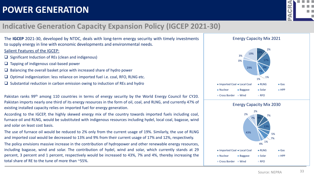

### **Indicative Generation Capacity Expansion Policy (IGCEP 2021-30)**

The **IGCEP** 2021-30, developed by NTDC, deals with long-term energy security with timely investments to supply energy in line with economic developments and environmental needs. Salient Features of the IGCEP:

- $\Box$  Significant Induction of REs (clean and indigenous)
- $\Box$  Tapping of indigenous coal-based power
- $\Box$  Balancing the overall basket price with increased share of hydro power
- $\Box$  Optimal indigenization: less reliance on imported fuel i.e. coal, RFO, RLNG etc.
- $\square$  Substantial reduction in carbon emission owing to induction of REs and hydro

Pakistan ranks 99<sup>th</sup> among 110 countries in terms of energy security by the World Energy Council for CY20. Pakistan imports nearly one third of its energy resources in the form of oil, coal, and RLNG, and currently 47% of existing installed capacity relies on imported fuel for energy generation.

According to the IGCEP, the highly skewed energy mix of the country towards imported fuels including coal, furnace oil and RLNG, would be substituted with indigenous resources including hydel, local coal, bagasse, wind and solar on least cost basis.

The use of furnace oil would be reduced to 2% only from the current usage of 19%. Similarly, the use of RLNG and imported coal would be decreased to 13% and 9% from their current usage of 17% and 12%, respectively.

The policy envisions massive increase in the contribution of hydropower and other renewable energy resources, including bagasse, wind and solar. The contribution of hydel, wind and solar, which currently stands at 29 percent, 3 percent and 1 percent, respectively would be increased to 43%, 7% and 4%, thereby increasing the total share of RE to the tune of more than ~55%.



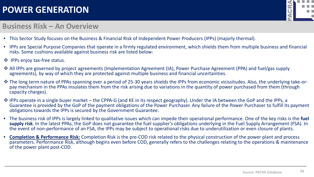# **GR** m n

#### **Business Risk – An Overview**

- This Sector Study focuses on the Business & Financial Risk of Independent Power Producers (IPPs) (majorly thermal).
- IPPs are Special Purpose Companies that operate in a firmly regulated environment, which shields them from multiple business and financial risks. Some cushions available against business risk are listed below:
- ❖ IPPs enjoy tax-free status.
- All IPPs are governed by project agreements (Implementation Agreement (IA), Power Purchase Agreement (PPA) and fuel/gas supply agreements), by way of which they are protected against multiple business and financial uncertainties.
- \* The long term nature of PPAs spanning over a period of 25-30 years shields the IPPs from economic vicissitudes. Also, the underlying take-or-<br>pay mechanism in the PPAs insulates them from the risk arising due to variati capacity charges).
- \* IPPs operate in a single buyer market the CPPA-G (and KE in its respect geography). Under the IA between the GoP and the IPPs, a Guarantee is provided by the GoP of the payment obligations of the Power Purchaser. Any failure of the Power Purchaser to fulfill its payment obligations towards the IPPs is secured by the Government Guarantee.
- The business risk of IPPs is largely linked to qualitative issues which can impede their operational performance. One of the key risks is the **fuel supply risk**. In the latest PPAs, the GoP does not guarantee the fuel supplier's obligations underlying in the Fuel Supply Arrangement (FSA). In the event of non-performance of an FSA, the IPPs may be subject to operational risks due to underutilization or even closure of plants.
- **Completion & Performance Risk:** Completion Risk is the pre-COD risk related to the physical construction of the power plant and process parameters. Performance Risk, although begins even before COD, generally refers to the challenges relating to the operations & maintenance of the power plant post-COD.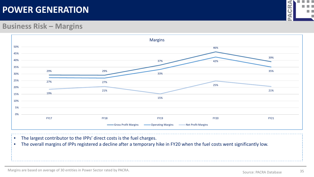

#### **Business Risk – Margins**



- The largest contributor to the IPPs' direct costs is the fuel charges.
- The overall margins of IPPs registered a decline after a temporary hike in FY20 when the fuel costs went significantly low.

Margins are based on average of 30 entities in Power Sector rated by PACRA.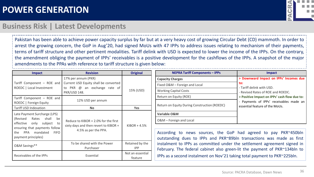

#### **Business Risk | Latest Developments**

Pakistan has been able to achieve power capacity surplus by far but at a very heavy cost of growing Circular Debt (CD) mammoth. In order to arrest the growing concern, the GoP in Aug'20, had signed MoUs with 47 IPPs to address issues relating to mechanism of their payments, terms of tariff structure and other pertinent modalities. Tariff delink with USD is expected to lower the income of the IPPs. On the contrary, the amendment obliging the payment of IPPs' receivables is a positive development for the cashflows of the IPPs. A snapshot of the major amendments to the PPAs with reference to tariff structure is given below:

| <b>Impact</b>                                                                                                                                                                            | <b>Revision</b>                                                                                              | <b>Original</b>             |
|------------------------------------------------------------------------------------------------------------------------------------------------------------------------------------------|--------------------------------------------------------------------------------------------------------------|-----------------------------|
| Tariff Component - ROE and<br>ROEDC   Local Investment                                                                                                                                   | 17% per annum (PKR)<br>Current USD Equity shall be converted<br>to PKR @ an exchange rate of<br>PKR/USD 148. | 15% (USD)                   |
| Tariff Component - ROE and<br>ROEDC   Foreign Equity                                                                                                                                     | 12% USD per annum                                                                                            |                             |
| <b>Tariff USD Indexation</b>                                                                                                                                                             | <b>No</b>                                                                                                    | <b>Yes</b>                  |
| Late Payment Surcharge (LPS)<br>(Revised Rates shall<br>be<br>effective only subject<br>to<br>ensuring that payments follow<br>PPA mandated<br><b>FIFO</b><br>the<br>payment principles) | Reduce to KIBOR $+ 2.0\%$ for the first<br>sixty days and then revert to KIBOR +<br>4.5% as per the PPA.     |                             |
| O&M Savings**                                                                                                                                                                            | To be shared with the Power<br>Purchaser                                                                     |                             |
| Receivables of the IPPs                                                                                                                                                                  | Essential                                                                                                    | Not an essential<br>feature |

| <b>NEPRA Tariff Components - IPPs</b>        | <b>Impact</b>                                                             |
|----------------------------------------------|---------------------------------------------------------------------------|
| <b>Capacity Charges</b>                      | > Downward Impact on IPPs' Incomes due                                    |
| Fixed O&M - Foreign and Local                | to:<br>- Tariff delink with USD.                                          |
| <b>Working Capital Costs</b>                 | - Revised Rates of ROE and ROEDC.                                         |
| Return on Equity (ROE)                       | > Positive Impact on IPPs' cash flow due to:                              |
| Return on Equity During Construction (ROEDC) | - Payments of IPPs' receivables made an<br>essential feature of the MoUs. |
| Variable O&M                                 |                                                                           |
| O&M - Foreign and Local                      |                                                                           |

According to news sources, the GoP had agreed to pay PKR~450bln outstanding dues to IPPs and PKR~89bln transactions was made as first instalment to IPPs as committed under the settlement agreement signed in February. The federal cabinet also green-lit the payment of PKR~134bln to IPPs as a second instalment on Nov'21 taking total payment to PKR~225bln.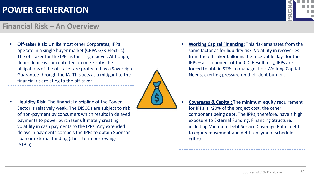

#### **Financial Risk – An Overview**

• **Off-taker Risk:** Unlike most other Corporates, IPPs operate in a single buyer market (CPPA-G/K-Electric). The off-taker for the IPPs is this single buyer. Although, dependence is concentrated on one Entity, the obligations of the off-taker are protected by a Sovereign Guarantee through the IA. This acts as a mitigant to the financial risk relating to the off-taker.

• **Liquidity Risk:** The financial discipline of the Power

payments to power purchaser ultimately creating

Loan or external funding (short term borrowings

(STBs)).

volatility in cash payments to the IPPs. Any extended

delays in payments compels the IPPs to obtain Sponsor

Sector is relatively weak. The DISCOs are subject to risk of non-payment by consumers which results in delayed

- 
- **Working Capital Financing:** This risk emanates from the same factor as for liquidity risk. Volatility in recoveries from the off-taker balloons the receivable days for the IPPs – a component of the CD. Resultantly, IPPs are forced to obtain STBs to manage their Working Capital Needs, exerting pressure on their debt burden.

• **Coverages & Capital:** The minimum equity requirement for IPPs is ~20% of the project cost, the other component being debt. The IPPs, therefore, have a high exposure to External Funding. Financing Structure, including Minimum Debt Service Coverage Ratio, debt to equity movement and debt repayment schedule is critical.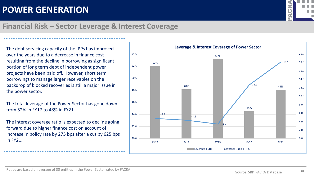

### **Financial Risk – Sector Leverage & Interest Coverage**

The debt servicing capacity of the IPPs has improved over the years due to a decrease in finance cost resulting from the decline in borrowing as significant portion of long term debt of independent power projects have been paid off. However, short term borrowings to manage larger receivables on the backdrop of blocked recoveries is still a major issue in the power sector.

The total leverage of the Power Sector has gone down from 52% in FY17 to 48% in FY21.

The interest coverage ratio is expected to decline going forward due to higher finance cost on account of increase in policy rate by 275 bps after a cut by 625 bps in FY21.

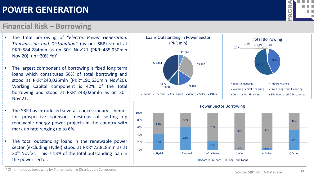\*Other includes borrowing by Transmission & Distribution Companies

# **POWER GENERATION**

#### **Financial Risk – Borrowing**

![](_page_41_Figure_4.jpeg)

- The largest component of borrowing is fixed long term loans which constitutes 56% of total borrowing and stood at PKR~243,025mln (PKR~190,630mln Nov'20). Working Capital component is 42% of the total borrowing and stood at PKR~243,025mln as on 30th Nov'21.
- The SBP has introduced several concessionary schemes for prospective sponsors, desirous of setting up renewable energy power projects in the country with mark up rate ranging up to 6%.
- The total outstanding loans in the renewable power sector (excluding Hydel) stood at PKR~73,818mln as at 30<sup>th</sup> Nov'21. This is 13% of the total outstanding loan in the power sector.

![](_page_41_Figure_8.jpeg)

24%

a) Hydal b) Thermal c) Coal Based d) Wind e) Solar f) Other

■ Short Term Loans ■ Long Term Loans

42%

0%

20%

![](_page_41_Picture_9.jpeg)

 $1\%$  6%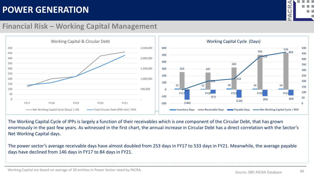![](_page_42_Picture_1.jpeg)

#### **Financial Risk – Working Capital Management**

![](_page_42_Figure_3.jpeg)

The Working Capital Cycle of IPPs is largely a function of their receivables which is one component of the Circular Debt, that has grown enormously in the past few years. As witnessed in the first chart, the annual increase in Circular Debt has a direct correlation with the Sector's Net Working Capital days.

The power sector's average receivable days have almost doubled from 253 days in FY17 to 533 days in FY21. Meanwhile, the average payable days have declined from 146 days in FY17 to 84 days in FY21.

Working Capital are based on average of 30 entities in Power Sector rated by PACRA.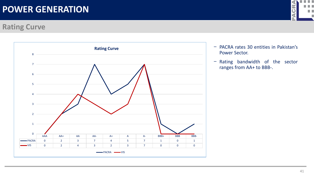### **Rating Curve**

![](_page_43_Figure_2.jpeg)

![](_page_43_Picture_3.jpeg)

- − PACRA rates 30 entities in Pakistan's Power Sector.
- − Rating bandwidth of the sector ranges from AA+ to BBB-.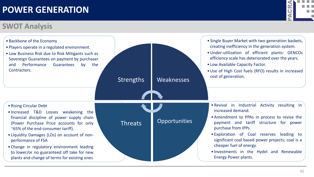### **SWOT Analysis**

![](_page_44_Picture_2.jpeg)

![](_page_44_Picture_3.jpeg)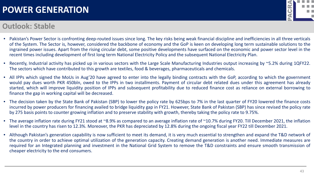#### **Outlook: Stable**

![](_page_45_Picture_2.jpeg)

- Pakistan's Power Sector is confronting deep-routed issues since long. The key risks being weak financial discipline and inefficiencies in all three verticals of the System. The Sector is, however, considered the backbone of economy and the GoP is keen on developing long term sustainable solutions to the ingrained power issues. Apart from the rising circular debt, some positive developments have surfaced on the economic and power sector level in the recent times including development of first long term National Electricity Policy and the subsequent National Electricity Plan.
- Recently, Industrial activity has picked up in various sectors with the Large Scale Manufacturing Industries output increasing by ~5.2% during 1QFY22. The sectors which have contributed to this growth are textiles, food & beverages, pharmaceuticals and chemicals.
- All IPPs which signed the MoUs in Aug'20 have agreed to enter into the legally binding contracts with the GoP, according to which the government would pay dues worth PKR 450bln, owed to the IPPs in two installments. Payment of circular debt related dues under this agreement has already started, which will improve liquidity position of IPPs and subsequent profitability due to reduced finance cost as reliance on external borrowing to finance the gap in working capital will be decreased.
- The decision taken by the State Bank of Pakistan (SBP) to lower the policy rate by 625bps to 7% in the last quarter of FY20 lowered the finance costs incurred by power producers for financing availed to bridge liquidity gap in FY21. However, State Bank of Pakistan (SBP) has since revised the policy rate by 275 basis points to counter growing inflation and to preserve stability with growth, thereby taking the policy rate to 9.75%.
- The average inflation rate during FY21 stood at ~8.9% as compared to an average inflation rate of ~10.7% during FY20. Till December 2021, the inflation level in the country has risen to 12.3%. Moreover, the PKR has depreciated by 12.8% during the ongoing fiscal year FY22 till December 2021.
- Although Pakistan's generation capability is now sufficient to meet its demand, it is very much essential to strengthen and expand the T&D network of the country in order to achieve optimal utilization of the generation capacity. Creating demand generation is another need. Immediate measures are required for an Integrated planning and investment in the National Grid System to remove the T&D constraints and ensure smooth transmission of cheaper electricity to the end consumers.